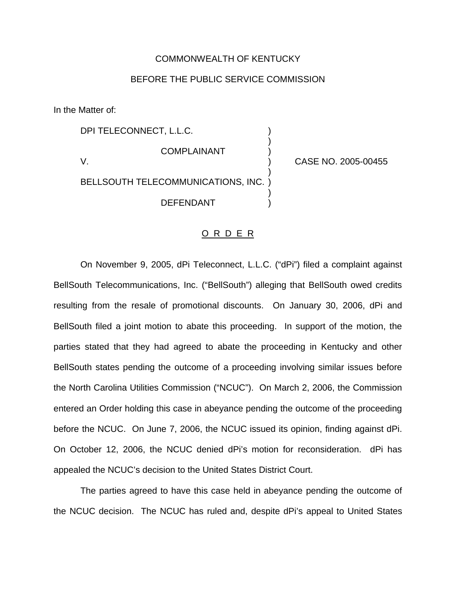## COMMONWEALTH OF KENTUCKY

## BEFORE THE PUBLIC SERVICE COMMISSION

)

)

)

In the Matter of:

DPI TELECONNECT, L.L.C. **COMPLAINANT** V. ) CASE NO. 2005-00455 BELLSOUTH TELECOMMUNICATIONS, INC. ) **DEFENDANT** 

## O R D E R

On November 9, 2005, dPi Teleconnect, L.L.C. ("dPi") filed a complaint against BellSouth Telecommunications, Inc. ("BellSouth") alleging that BellSouth owed credits resulting from the resale of promotional discounts. On January 30, 2006, dPi and BellSouth filed a joint motion to abate this proceeding. In support of the motion, the parties stated that they had agreed to abate the proceeding in Kentucky and other BellSouth states pending the outcome of a proceeding involving similar issues before the North Carolina Utilities Commission ("NCUC"). On March 2, 2006, the Commission entered an Order holding this case in abeyance pending the outcome of the proceeding before the NCUC. On June 7, 2006, the NCUC issued its opinion, finding against dPi. On October 12, 2006, the NCUC denied dPi's motion for reconsideration. dPi has appealed the NCUC's decision to the United States District Court.

The parties agreed to have this case held in abeyance pending the outcome of the NCUC decision. The NCUC has ruled and, despite dPi's appeal to United States